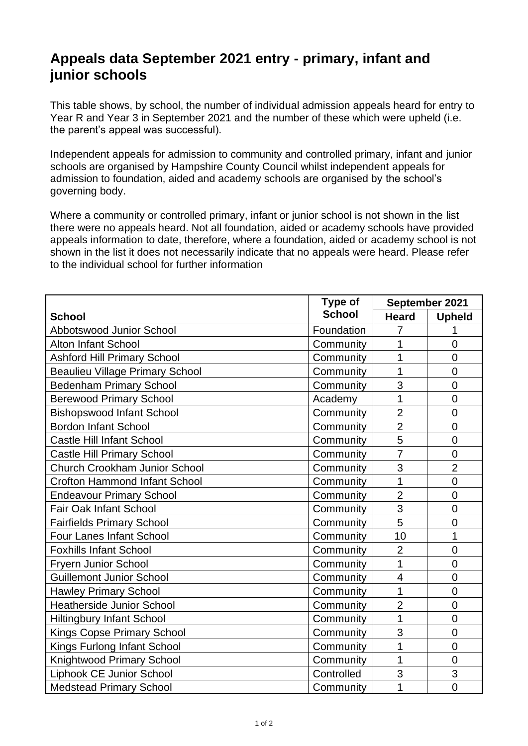## **Appeals data September 2021 entry - primary, infant and junior schools**

This table shows, by school, the number of individual admission appeals heard for entry to Year R and Year 3 in September 2021 and the number of these which were upheld (i.e. the parent's appeal was successful).

Independent appeals for admission to community and controlled primary, infant and junior schools are organised by Hampshire County Council whilst independent appeals for admission to foundation, aided and academy schools are organised by the school's governing body.

Where a community or controlled primary, infant or junior school is not shown in the list there were no appeals heard. Not all foundation, aided or academy schools have provided appeals information to date, therefore, where a foundation, aided or academy school is not shown in the list it does not necessarily indicate that no appeals were heard. Please refer to the individual school for further information

|                                        | Type of       | September 2021 |                |
|----------------------------------------|---------------|----------------|----------------|
| <b>School</b>                          | <b>School</b> | <b>Heard</b>   | <b>Upheld</b>  |
| <b>Abbotswood Junior School</b>        | Foundation    | $\overline{7}$ | 1              |
| <b>Alton Infant School</b>             | Community     | 1              | $\overline{0}$ |
| <b>Ashford Hill Primary School</b>     | Community     | 1              | $\overline{0}$ |
| <b>Beaulieu Village Primary School</b> | Community     | 1              | $\overline{0}$ |
| <b>Bedenham Primary School</b>         | Community     | 3              | $\overline{0}$ |
| <b>Berewood Primary School</b>         | Academy       | 1              | $\overline{0}$ |
| <b>Bishopswood Infant School</b>       | Community     | $\overline{2}$ | $\mathbf 0$    |
| <b>Bordon Infant School</b>            | Community     | $\overline{2}$ | $\overline{0}$ |
| <b>Castle Hill Infant School</b>       | Community     | 5              | $\overline{0}$ |
| <b>Castle Hill Primary School</b>      | Community     | $\overline{7}$ | $\overline{0}$ |
| <b>Church Crookham Junior School</b>   | Community     | 3              | $\overline{2}$ |
| <b>Crofton Hammond Infant School</b>   | Community     | $\overline{1}$ | $\overline{0}$ |
| <b>Endeavour Primary School</b>        | Community     | $\overline{2}$ | $\overline{0}$ |
| <b>Fair Oak Infant School</b>          | Community     | 3              | $\mathbf 0$    |
| <b>Fairfields Primary School</b>       | Community     | 5              | $\overline{0}$ |
| <b>Four Lanes Infant School</b>        | Community     | 10             | 1              |
| <b>Foxhills Infant School</b>          | Community     | $\overline{2}$ | $\overline{0}$ |
| <b>Fryern Junior School</b>            | Community     | 1              | $\mathbf 0$    |
| <b>Guillemont Junior School</b>        | Community     | $\overline{4}$ | $\overline{0}$ |
| <b>Hawley Primary School</b>           | Community     | 1              | $\overline{0}$ |
| <b>Heatherside Junior School</b>       | Community     | $\overline{2}$ | $\mathbf 0$    |
| <b>Hiltingbury Infant School</b>       | Community     | 1              | $\mathbf 0$    |
| <b>Kings Copse Primary School</b>      | Community     | 3              | $\overline{0}$ |
| Kings Furlong Infant School            | Community     | $\overline{1}$ | $\overline{0}$ |
| Knightwood Primary School              | Community     | 1              | $\mathbf 0$    |
| Liphook CE Junior School               | Controlled    | 3              | 3              |
| <b>Medstead Primary School</b>         | Community     | 1              | $\overline{0}$ |